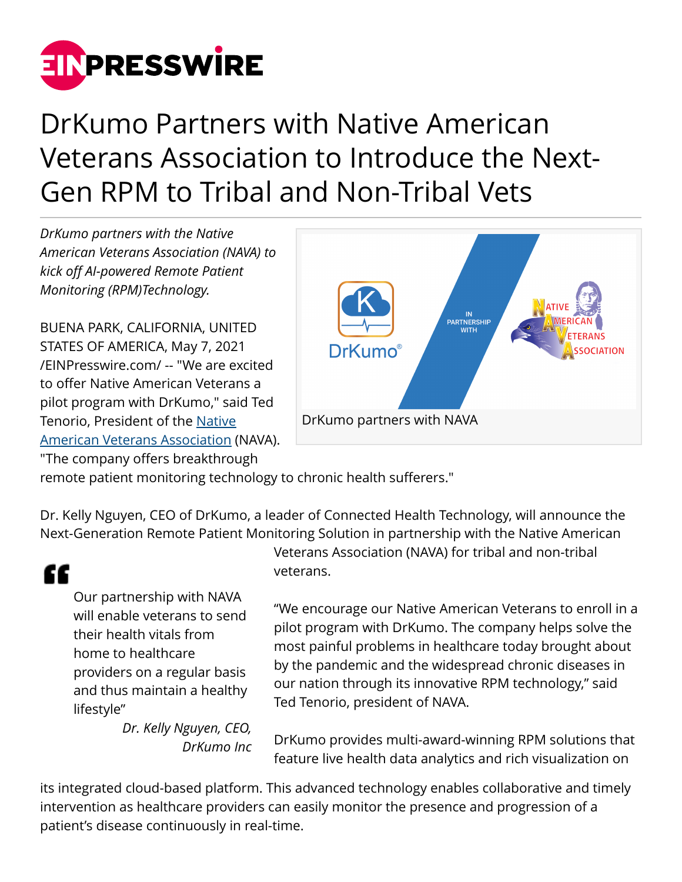

## DrKumo Partners with Native American Veterans Association to Introduce the Next-Gen RPM to Tribal and Non-Tribal Vets

*DrKumo partners with the Native American Veterans Association (NAVA) to kick off AI-powered Remote Patient Monitoring (RPM)Technology.*

BUENA PARK, CALIFORNIA, UNITED STATES OF AMERICA, May 7, 2021 [/EINPresswire.com/](http://www.einpresswire.com) -- "We are excited to offer Native American Veterans a pilot program with DrKumo," said Ted Tenorio, President of the [Native](https://www.navavets.org/) [American Veterans Association](https://www.navavets.org/) (NAVA). "The company offers breakthrough



remote patient monitoring technology to chronic health sufferers."

Dr. Kelly Nguyen, CEO of DrKumo, a leader of Connected Health Technology, will announce the Next-Generation Remote Patient Monitoring Solution in partnership with the Native American

## "

Our partnership with NAVA will enable veterans to send their health vitals from home to healthcare providers on a regular basis and thus maintain a healthy lifestyle"

> *Dr. Kelly Nguyen, CEO, DrKumo Inc*

Veterans Association (NAVA) for tribal and non-tribal veterans.

"We encourage our Native American Veterans to enroll in a pilot program with DrKumo. The company helps solve the most painful problems in healthcare today brought about by the pandemic and the widespread chronic diseases in our nation through its innovative RPM technology," said Ted Tenorio, president of NAVA.

DrKumo provides multi-award-winning RPM solutions that feature live health data analytics and rich visualization on

its integrated cloud-based platform. This advanced technology enables collaborative and timely intervention as healthcare providers can easily monitor the presence and progression of a patient's disease continuously in real-time.